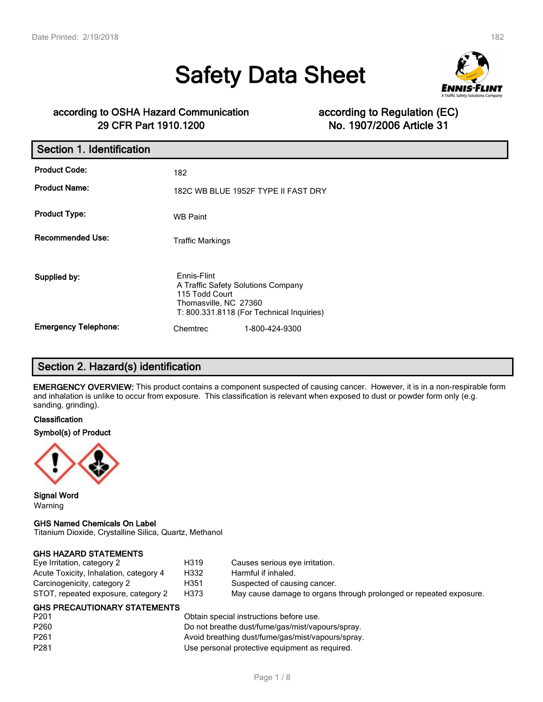# **Safety Data Sheet**



# **according to OSHA Hazard Communication according to Regulation (EC) 29 CFR Part 1910.1200 No. 1907/2006 Article 31**

| Section 1. Identification   |                                                                                              |                                           |
|-----------------------------|----------------------------------------------------------------------------------------------|-------------------------------------------|
| <b>Product Code:</b>        | 182                                                                                          |                                           |
| <b>Product Name:</b>        |                                                                                              | 182C WB BLUE 1952F TYPE II FAST DRY       |
| <b>Product Type:</b>        | <b>WB Paint</b>                                                                              |                                           |
| <b>Recommended Use:</b>     | <b>Traffic Markings</b>                                                                      |                                           |
| Supplied by:                | Ennis-Flint<br>A Traffic Safety Solutions Company<br>115 Todd Court<br>Thomasville, NC 27360 | T: 800.331.8118 (For Technical Inquiries) |
| <b>Emergency Telephone:</b> | Chemtrec                                                                                     | 1-800-424-9300                            |

# **Section 2. Hazard(s) identification**

**EMERGENCY OVERVIEW:** This product contains a component suspected of causing cancer. However, it is in a non-respirable form and inhalation is unlike to occur from exposure. This classification is relevant when exposed to dust or powder form only (e.g. sanding, grinding).

#### **Classification**

#### **Symbol(s) of Product**



**Signal Word** Warning

#### **GHS Named Chemicals On Label**

Titanium Dioxide, Crystalline Silica, Quartz, Methanol

#### **GHS HAZARD STATEMENTS**

| Eye Irritation, category 2             | H319 | Causes serious eye irritation.                                     |
|----------------------------------------|------|--------------------------------------------------------------------|
| Acute Toxicity, Inhalation, category 4 | H332 | Harmful if inhaled.                                                |
| Carcinogenicity, category 2            | H351 | Suspected of causing cancer.                                       |
| STOT, repeated exposure, category 2    | H373 | May cause damage to organs through prolonged or repeated exposure. |

#### **GHS PRECAUTIONARY STATEMENTS**

| P <sub>201</sub> | Obtain special instructions before use.           |
|------------------|---------------------------------------------------|
| P <sub>260</sub> | Do not breathe dust/fume/gas/mist/vapours/spray.  |
| P <sub>261</sub> | Avoid breathing dust/fume/gas/mist/vapours/spray. |
| P <sub>281</sub> | Use personal protective equipment as required.    |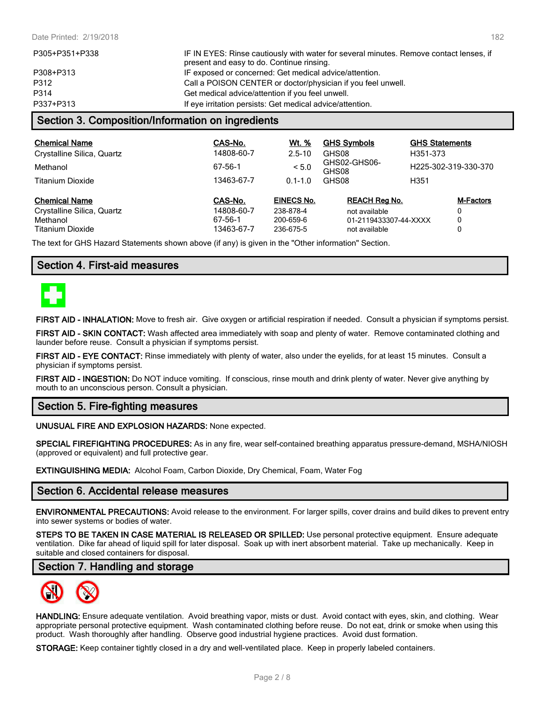| P305+P351+P338 | IF IN EYES: Rinse cautiously with water for several minutes. Remove contact lenses, if<br>present and easy to do. Continue rinsing. |
|----------------|-------------------------------------------------------------------------------------------------------------------------------------|
| P308+P313      | IF exposed or concerned: Get medical advice/attention.                                                                              |
| P312           | Call a POISON CENTER or doctor/physician if you feel unwell.                                                                        |
| P314           | Get medical advice/attention if you feel unwell.                                                                                    |
| P337+P313      | If eye irritation persists: Get medical advice/attention.                                                                           |
|                | I Cootion 2. Composition/Information on ingradiante                                                                                 |

# **Section 3. Composition/Information on ingredients**

| <b>Chemical Name</b><br>Crystalline Silica, Quartz             | CAS-No.<br>14808-60-7            | Wt. %<br>$2.5 - 10$                         | <b>GHS Symbols</b><br>GHS08                                    | <b>GHS Statements</b><br>H351-373 |  |
|----------------------------------------------------------------|----------------------------------|---------------------------------------------|----------------------------------------------------------------|-----------------------------------|--|
| Methanol                                                       | 67-56-1                          | < 5.0                                       | GHS02-GHS06-<br>GHS08                                          | H225-302-319-330-370              |  |
| Titanium Dioxide                                               | 13463-67-7                       | $0.1 - 1.0$                                 | GHS08                                                          | H <sub>351</sub>                  |  |
| <b>Chemical Name</b><br>Crystalline Silica, Quartz<br>Methanol | CAS-No.<br>14808-60-7<br>67-56-1 | <b>EINECS No.</b><br>238-878-4<br>200-659-6 | <b>REACH Rea No.</b><br>not available<br>01-2119433307-44-XXXX | <b>M-Factors</b><br>0<br>٥        |  |
| <b>Titanium Dioxide</b>                                        | 13463-67-7                       | 236-675-5                                   | not available                                                  | 0                                 |  |

The text for GHS Hazard Statements shown above (if any) is given in the "Other information" Section.

### **Section 4. First-aid measures**



**FIRST AID - INHALATION:** Move to fresh air. Give oxygen or artificial respiration if needed. Consult a physician if symptoms persist.

**FIRST AID - SKIN CONTACT:** Wash affected area immediately with soap and plenty of water. Remove contaminated clothing and launder before reuse. Consult a physician if symptoms persist.

**FIRST AID - EYE CONTACT:** Rinse immediately with plenty of water, also under the eyelids, for at least 15 minutes. Consult a physician if symptoms persist.

**FIRST AID - INGESTION:** Do NOT induce vomiting. If conscious, rinse mouth and drink plenty of water. Never give anything by mouth to an unconscious person. Consult a physician.

### **Section 5. Fire-fighting measures**

#### **UNUSUAL FIRE AND EXPLOSION HAZARDS:** None expected.

**SPECIAL FIREFIGHTING PROCEDURES:** As in any fire, wear self-contained breathing apparatus pressure-demand, MSHA/NIOSH (approved or equivalent) and full protective gear.

**EXTINGUISHING MEDIA:** Alcohol Foam, Carbon Dioxide, Dry Chemical, Foam, Water Fog

### **Section 6. Accidental release measures**

**ENVIRONMENTAL PRECAUTIONS:** Avoid release to the environment. For larger spills, cover drains and build dikes to prevent entry into sewer systems or bodies of water.

**STEPS TO BE TAKEN IN CASE MATERIAL IS RELEASED OR SPILLED:** Use personal protective equipment. Ensure adequate ventilation. Dike far ahead of liquid spill for later disposal. Soak up with inert absorbent material. Take up mechanically. Keep in suitable and closed containers for disposal.

### **Section 7. Handling and storage**



**HANDLING:** Ensure adequate ventilation. Avoid breathing vapor, mists or dust. Avoid contact with eyes, skin, and clothing. Wear appropriate personal protective equipment. Wash contaminated clothing before reuse. Do not eat, drink or smoke when using this product. Wash thoroughly after handling. Observe good industrial hygiene practices. Avoid dust formation.

**STORAGE:** Keep container tightly closed in a dry and well-ventilated place. Keep in properly labeled containers.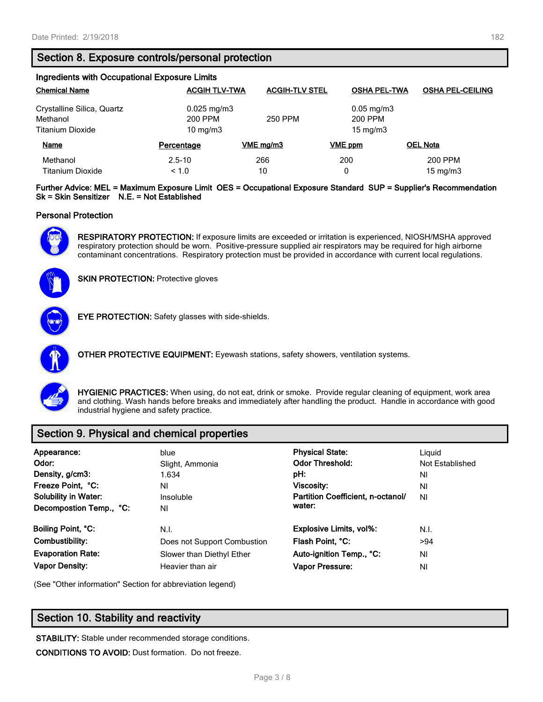# **Section 8. Exposure controls/personal protection**

| Ingredients with Occupational Exposure Limits |                      |                       |                        |                         |  |  |
|-----------------------------------------------|----------------------|-----------------------|------------------------|-------------------------|--|--|
| <b>Chemical Name</b>                          | <b>ACGIH TLV-TWA</b> | <b>ACGIH-TLV STEL</b> | <b>OSHA PEL-TWA</b>    | <b>OSHA PEL-CEILING</b> |  |  |
| Crystalline Silica, Quartz                    | $0.025$ mg/m $3$     |                       | $0.05 \,\mathrm{mg/m}$ |                         |  |  |
| Methanol                                      | 200 PPM              | 250 PPM               | 200 PPM                |                         |  |  |
| <b>Titanium Dioxide</b>                       | 10 mg/m $3$          |                       | $15 \text{ mg/m}$      |                         |  |  |
| Name                                          | Percentage           | VME ma/m3             | VME ppm                | <b>OEL Nota</b>         |  |  |
| Methanol                                      | $2.5 - 10$           | 266                   | 200                    | 200 PPM                 |  |  |
| Titanium Dioxide                              | ~1.0                 | 10                    | 0                      | $15 \text{ mg/m}$       |  |  |

**Further Advice: MEL = Maximum Exposure Limit OES = Occupational Exposure Standard SUP = Supplier's Recommendation Sk = Skin Sensitizer N.E. = Not Established**

#### **Personal Protection**



**RESPIRATORY PROTECTION:** If exposure limits are exceeded or irritation is experienced, NIOSH/MSHA approved respiratory protection should be worn. Positive-pressure supplied air respirators may be required for high airborne contaminant concentrations. Respiratory protection must be provided in accordance with current local regulations.



**SKIN PROTECTION: Protective gloves** 



**EYE PROTECTION:** Safety glasses with side-shields.



**OTHER PROTECTIVE EQUIPMENT:** Eyewash stations, safety showers, ventilation systems.



**HYGIENIC PRACTICES:** When using, do not eat, drink or smoke. Provide regular cleaning of equipment, work area and clothing. Wash hands before breaks and immediately after handling the product. Handle in accordance with good industrial hygiene and safety practice.

# **Section 9. Physical and chemical properties**

| Appearance:<br>Odor:<br>Density, g/cm3:<br>Freeze Point, °C:<br><b>Solubility in Water:</b><br>Decompostion Temp., °C: | blue<br>Slight, Ammonia<br>1.634<br>ΝI<br>Insoluble<br>ΝI | <b>Physical State:</b><br><b>Odor Threshold:</b><br>pH:<br>Viscosity:<br>Partition Coefficient, n-octanol/<br>water: | Liguid<br>Not Established<br>ΝI<br>ΝI<br><b>NI</b> |
|------------------------------------------------------------------------------------------------------------------------|-----------------------------------------------------------|----------------------------------------------------------------------------------------------------------------------|----------------------------------------------------|
| Boiling Point, °C:                                                                                                     | N.I.                                                      | <b>Explosive Limits, vol%:</b>                                                                                       | N.I.                                               |
| Combustibility:                                                                                                        | Does not Support Combustion                               | Flash Point, °C:                                                                                                     | >94                                                |
| <b>Evaporation Rate:</b>                                                                                               | Slower than Diethyl Ether                                 | Auto-ignition Temp., °C:                                                                                             | ΝI                                                 |
| <b>Vapor Density:</b>                                                                                                  | Heavier than air                                          | Vapor Pressure:                                                                                                      | ΝI                                                 |

(See "Other information" Section for abbreviation legend)

# **Section 10. Stability and reactivity**

**STABILITY:** Stable under recommended storage conditions.

**CONDITIONS TO AVOID:** Dust formation. Do not freeze.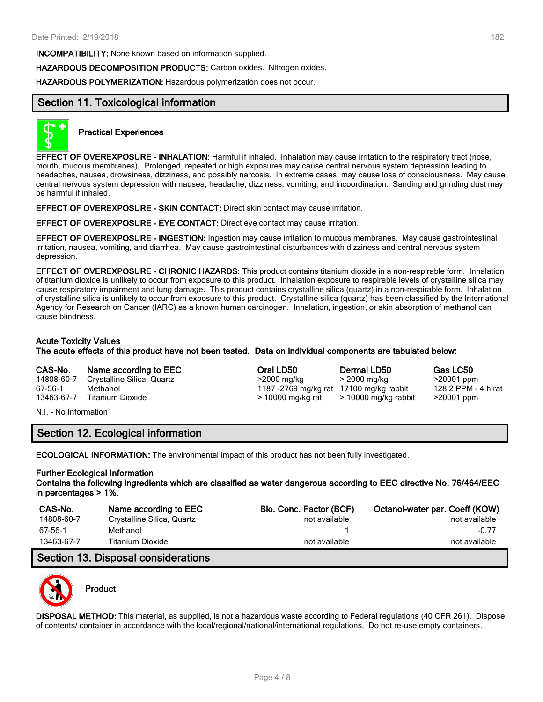**INCOMPATIBILITY:** None known based on information supplied.

**HAZARDOUS DECOMPOSITION PRODUCTS:** Carbon oxides. Nitrogen oxides.

**HAZARDOUS POLYMERIZATION:** Hazardous polymerization does not occur.

# **Section 11. Toxicological information**



#### **Practical Experiences**

**EFFECT OF OVEREXPOSURE - INHALATION:** Harmful if inhaled. Inhalation may cause irritation to the respiratory tract (nose, mouth, mucous membranes). Prolonged, repeated or high exposures may cause central nervous system depression leading to headaches, nausea, drowsiness, dizziness, and possibly narcosis. In extreme cases, may cause loss of consciousness. May cause central nervous system depression with nausea, headache, dizziness, vomiting, and incoordination. Sanding and grinding dust may be harmful if inhaled.

**EFFECT OF OVEREXPOSURE - SKIN CONTACT:** Direct skin contact may cause irritation.

#### **EFFECT OF OVEREXPOSURE - EYE CONTACT:** Direct eye contact may cause irritation.

**EFFECT OF OVEREXPOSURE - INGESTION:** Ingestion may cause irritation to mucous membranes. May cause gastrointestinal irritation, nausea, vomiting, and diarrhea. May cause gastrointestinal disturbances with dizziness and central nervous system depression.

**EFFECT OF OVEREXPOSURE - CHRONIC HAZARDS:** This product contains titanium dioxide in a non-respirable form. Inhalation of titanium dioxide is unlikely to occur from exposure to this product. Inhalation exposure to respirable levels of crystalline silica may cause respiratory impairment and lung damage. This product contains crystalline silica (quartz) in a non-respirable form. Inhalation of crystalline silica is unlikely to occur from exposure to this product. Crystalline silica (quartz) has been classified by the International Agency for Research on Cancer (IARC) as a known human carcinogen. Inhalation, ingestion, or skin absorption of methanol can cause blindness.

#### **Acute Toxicity Values**

**The acute effects of this product have not been tested. Data on individual components are tabulated below:**

14808-60-7 Crystalline Silica, Quartz >2000 mg/kg > 2000 mg/kg >20001 ppm 67-56-1 Methanol 1187 -2769 mg/kg rat 17100 mg/kg rabbit 128.2 PPM - 4 h rat 13463-67-7 Titanium Dioxide > 10000 mg/kg rat > 10000 mg/kg rabbit >20001 ppm

**CAS-No. Name according to EEC Oral LD50 Dermal LD50 Gas LC50**

N.I. - No Information

# **Section 12. Ecological information**

**ECOLOGICAL INFORMATION:** The environmental impact of this product has not been fully investigated.

#### **Further Ecological Information**

**Contains the following ingredients which are classified as water dangerous according to EEC directive No. 76/464/EEC in percentages > 1%.**

| CAS-No.    | Name according to EEC      | Bio, Conc. Factor (BCF) | Octanol-water par. Coeff (KOW) |
|------------|----------------------------|-------------------------|--------------------------------|
| 14808-60-7 | Crystalline Silica, Quartz | not available           | not available                  |
| 67-56-1    | Methanol                   |                         | $-0.77$                        |
| 13463-67-7 | Titanium Dioxide           | not available           | not available                  |

# **Section 13. Disposal considerations**



### **Product**

**DISPOSAL METHOD:** This material, as supplied, is not a hazardous waste according to Federal regulations (40 CFR 261). Dispose of contents/ container in accordance with the local/regional/national/international regulations. Do not re-use empty containers.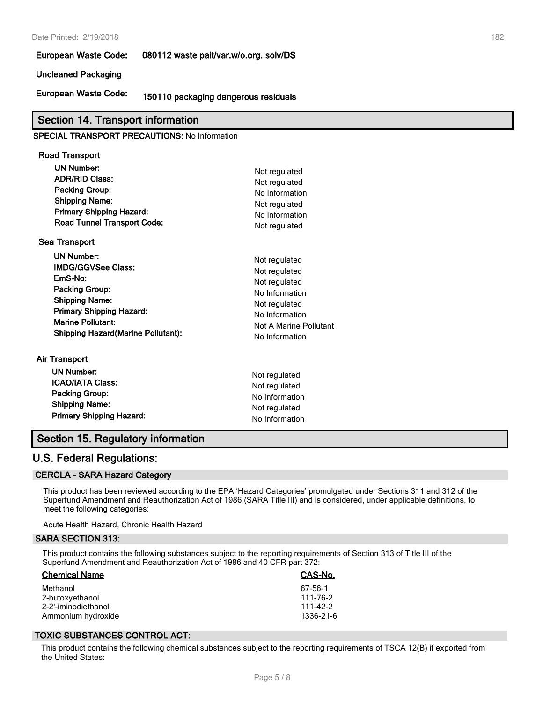#### Date Printed: 2/19/2018 182

**European Waste Code: 080112 waste pait/var.w/o.org. solv/DS**

#### **Uncleaned Packaging**

**European Waste Code: 150110 packaging dangerous residuals**

#### **Section 14. Transport information**

#### **SPECIAL TRANSPORT PRECAUTIONS:** No Information

| Road Transport                     |  |
|------------------------------------|--|
| UN Number:                         |  |
| <b>ADR/RID Class:</b>              |  |
| Packing Group:                     |  |
| <b>Shipping Name:</b>              |  |
| <b>Primary Shipping Hazard:</b>    |  |
| <b>Road Tunnel Transport Code:</b> |  |
| Sea Transport                      |  |

| <b>UN Number:</b>                          | Not regulated          |
|--------------------------------------------|------------------------|
| <b>IMDG/GGVSee Class:</b>                  | Not regulated          |
| EmS-No:                                    | Not regulated          |
| <b>Packing Group:</b>                      | No Information         |
| <b>Shipping Name:</b>                      | Not regulated          |
| <b>Primary Shipping Hazard:</b>            | No Information         |
| <b>Marine Pollutant:</b>                   | Not A Marine Pollutant |
| <b>Shipping Hazard (Marine Pollutant):</b> | No Information         |
|                                            |                        |

**Primary Shipping Hazard:** No Information

# **Air Transport UN Number:** Not regulated **ICAO/IATA Class:** Not regulated **Packing Group:** No Information **Shipping Name:** Not requlated

### **Section 15. Regulatory information**

### **U.S. Federal Regulations:**

#### **CERCLA - SARA Hazard Category**

This product has been reviewed according to the EPA 'Hazard Categories' promulgated under Sections 311 and 312 of the Superfund Amendment and Reauthorization Act of 1986 (SARA Title III) and is considered, under applicable definitions, to meet the following categories:

**Not regulated Not regulated Packing Group:** No Information **Not regulated No Information Not regulated** 

Acute Health Hazard, Chronic Health Hazard

#### **SARA SECTION 313:**

This product contains the following substances subject to the reporting requirements of Section 313 of Title III of the Superfund Amendment and Reauthorization Act of 1986 and 40 CFR part 372:

| <b>Chemical Name</b>                                                     | CAS-No.                                      |
|--------------------------------------------------------------------------|----------------------------------------------|
| Methanol<br>2-butoxyethanol<br>2-2'-iminodiethanol<br>Ammonium hydroxide | 67-56-1<br>111-76-2<br>111-42-2<br>1336-21-6 |
|                                                                          |                                              |

#### **TOXIC SUBSTANCES CONTROL ACT:**

This product contains the following chemical substances subject to the reporting requirements of TSCA 12(B) if exported from the United States: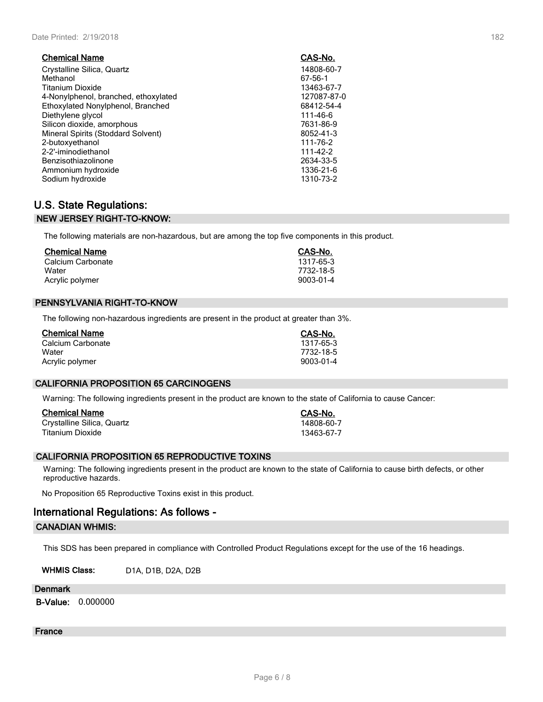| <b>Chemical Name</b>                 | CAS-No.     |
|--------------------------------------|-------------|
| Crystalline Silica, Quartz           | 14808-60-7  |
| Methanol                             | 67-56-1     |
| <b>Titanium Dioxide</b>              | 13463-67-7  |
| 4-Nonylphenol, branched, ethoxylated | 127087-87-0 |
| Ethoxylated Nonylphenol, Branched    | 68412-54-4  |
| Diethylene glycol                    | 111-46-6    |
| Silicon dioxide, amorphous           | 7631-86-9   |
| Mineral Spirits (Stoddard Solvent)   | 8052-41-3   |
| 2-butoxyethanol                      | 111-76-2    |
| 2-2'-iminodiethanol                  | 111-42-2    |
| Benzisothiazolinone                  | 2634-33-5   |
| Ammonium hydroxide                   | 1336-21-6   |
| Sodium hydroxide                     | 1310-73-2   |

# **U.S. State Regulations: NEW JERSEY RIGHT-TO-KNOW:**

The following materials are non-hazardous, but are among the top five components in this product.

| <b>Chemical Name</b> | CAS-No.   |
|----------------------|-----------|
| Calcium Carbonate    | 1317-65-3 |
| Water                | 7732-18-5 |
| Acrylic polymer      | 9003-01-4 |

#### **PENNSYLVANIA RIGHT-TO-KNOW**

The following non-hazardous ingredients are present in the product at greater than 3%.

| <b>Chemical Name</b> | CAS-No.   |
|----------------------|-----------|
| Calcium Carbonate    | 1317-65-3 |
| Water                | 7732-18-5 |
| Acrylic polymer      | 9003-01-4 |

#### **CALIFORNIA PROPOSITION 65 CARCINOGENS**

Warning: The following ingredients present in the product are known to the state of California to cause Cancer:

| <b>Chemical Name</b>       | CAS-No.    |
|----------------------------|------------|
| Crystalline Silica, Quartz | 14808-60-7 |
| Titanium Dioxide           | 13463-67-7 |

#### **CALIFORNIA PROPOSITION 65 REPRODUCTIVE TOXINS**

Warning: The following ingredients present in the product are known to the state of California to cause birth defects, or other reproductive hazards.

No Proposition 65 Reproductive Toxins exist in this product.

# **International Regulations: As follows - CANADIAN WHMIS:**

This SDS has been prepared in compliance with Controlled Product Regulations except for the use of the 16 headings.

**WHMIS Class:** D1A, D1B, D2A, D2B

#### **Denmark**

**B-Value:** 0.000000

# **France**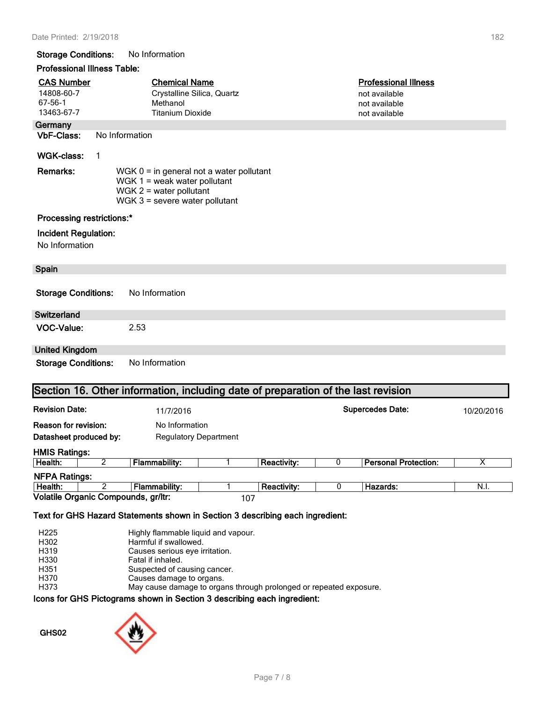#### **Storage Conditions:** No Information

# **Professional Illness Table:**

| Professional Illness Table:                              |                                                                                                                                               |                                                                                   |                                                    |                    |                         |                                                                                |            |
|----------------------------------------------------------|-----------------------------------------------------------------------------------------------------------------------------------------------|-----------------------------------------------------------------------------------|----------------------------------------------------|--------------------|-------------------------|--------------------------------------------------------------------------------|------------|
| <b>CAS Number</b><br>14808-60-7<br>67-56-1<br>13463-67-7 |                                                                                                                                               | Methanol<br><b>Titanium Dioxide</b>                                               | <b>Chemical Name</b><br>Crystalline Silica, Quartz |                    |                         | <b>Professional Illness</b><br>not available<br>not available<br>not available |            |
| Germany                                                  |                                                                                                                                               |                                                                                   |                                                    |                    |                         |                                                                                |            |
| <b>VbF-Class:</b>                                        |                                                                                                                                               | No Information                                                                    |                                                    |                    |                         |                                                                                |            |
| <b>WGK-class:</b>                                        | $\mathbf 1$                                                                                                                                   |                                                                                   |                                                    |                    |                         |                                                                                |            |
| Remarks:                                                 | WGK $0 =$ in general not a water pollutant<br>WGK $1$ = weak water pollutant<br>WGK $2$ = water pollutant<br>WGK $3$ = severe water pollutant |                                                                                   |                                                    |                    |                         |                                                                                |            |
| Processing restrictions:*                                |                                                                                                                                               |                                                                                   |                                                    |                    |                         |                                                                                |            |
| Incident Regulation:<br>No Information                   |                                                                                                                                               |                                                                                   |                                                    |                    |                         |                                                                                |            |
| <b>Spain</b>                                             |                                                                                                                                               |                                                                                   |                                                    |                    |                         |                                                                                |            |
| <b>Storage Conditions:</b>                               |                                                                                                                                               | No Information                                                                    |                                                    |                    |                         |                                                                                |            |
| <b>Switzerland</b>                                       |                                                                                                                                               |                                                                                   |                                                    |                    |                         |                                                                                |            |
| <b>VOC-Value:</b>                                        |                                                                                                                                               | 2.53                                                                              |                                                    |                    |                         |                                                                                |            |
| <b>United Kingdom</b>                                    |                                                                                                                                               |                                                                                   |                                                    |                    |                         |                                                                                |            |
| <b>Storage Conditions:</b>                               |                                                                                                                                               | No Information                                                                    |                                                    |                    |                         |                                                                                |            |
|                                                          |                                                                                                                                               | Section 16. Other information, including date of preparation of the last revision |                                                    |                    |                         |                                                                                |            |
| <b>Revision Date:</b>                                    |                                                                                                                                               | 11/7/2016                                                                         |                                                    |                    | <b>Supercedes Date:</b> |                                                                                | 10/20/2016 |
| <b>Reason for revision:</b><br>Datasheet produced by:    |                                                                                                                                               |                                                                                   | No Information<br><b>Regulatory Department</b>     |                    |                         |                                                                                |            |
|                                                          |                                                                                                                                               |                                                                                   |                                                    |                    |                         |                                                                                |            |
| <b>HMIS Ratings:</b><br>Health:                          | 2                                                                                                                                             | <b>Flammability:</b>                                                              | 1                                                  | <b>Reactivity:</b> | 0                       | <b>Personal Protection:</b>                                                    | х          |
| <b>NFPA Ratings:</b>                                     |                                                                                                                                               |                                                                                   |                                                    |                    |                         |                                                                                |            |
| Health:                                                  | $\overline{2}$                                                                                                                                | <b>Flammability:</b>                                                              | 1                                                  | <b>Reactivity:</b> | 0                       | Hazards:                                                                       | N.I.       |
|                                                          |                                                                                                                                               | Volatile Organic Compounds, gr/ltr:                                               |                                                    | 107                |                         |                                                                                |            |
|                                                          |                                                                                                                                               | Text for GHS Hazard Statements shown in Section 3 describing each ingredient:     |                                                    |                    |                         |                                                                                |            |
| H225                                                     |                                                                                                                                               |                                                                                   | Highly flammable liquid and vapour.                |                    |                         |                                                                                |            |

H<sub>armful</sub> if swallowed.<br>H319 **Harmful if swallowed.** 

H319 Causes serious eye irritation.<br>
H330 Fatal if inhaled.

H330 Fatal if inhaled.<br>H351 Suspected of ca

H351 Suspected of causing cancer.<br>
H370 Causes damage to organs.

Causes damage to organs.

H373 May cause damage to organs through prolonged or repeated exposure.

**Icons for GHS Pictograms shown in Section 3 describing each ingredient:**